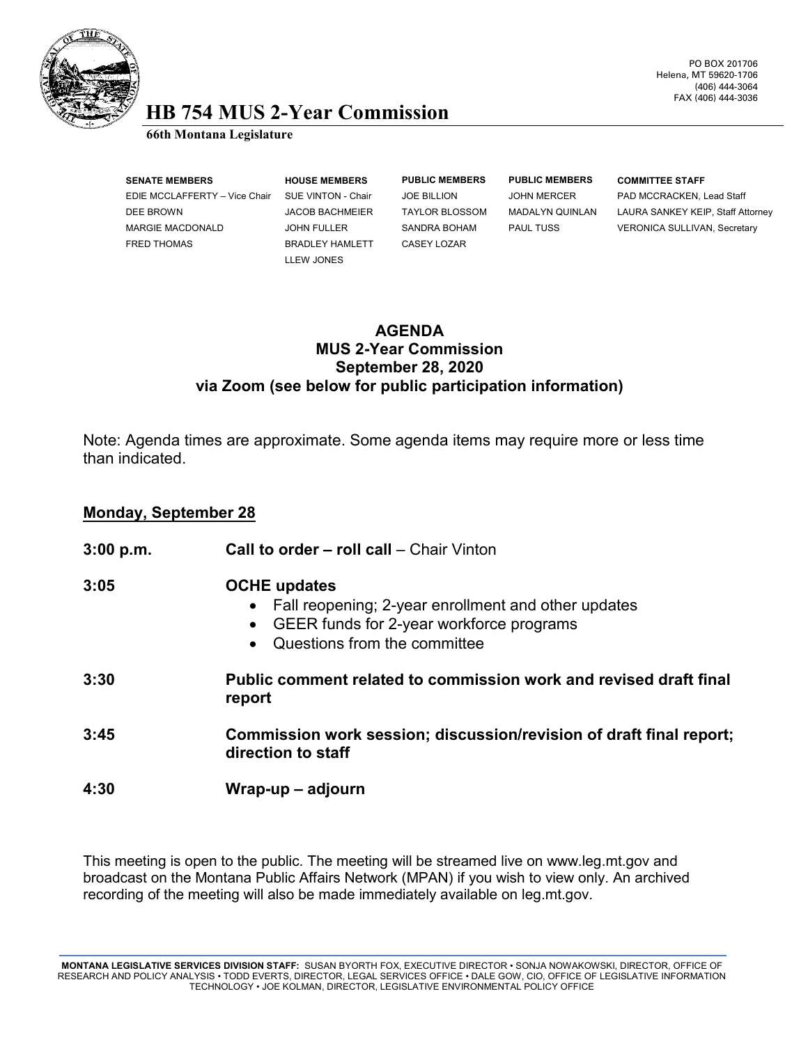

### PO BOX 201706 Helena, MT 59620-1706 (406) 444-3064 FAX (406) 444-3036

# **HB 754 MUS 2-Year Commission 66th Montana Legislature**

**SENATE MEMBERS HOUSE MEMBERS PUBLIC MEMBERS PUBLIC MEMBERS COMMITTEE STAFF** EDIE MCCLAFFERTY – Vice Chair SUE VINTON - Chair JOE BILLION JOHN MERCER PAD MCCRACKEN, Lead Staff MARGIE MACDONALD JOHN FULLER SANDRA BOHAM PAUL TUSS VERONICA SULLIVAN, Secretary FRED THOMAS BRADLEY HAMLETT CASEY LOZAR

LLEW JONES

DEE BROWN JACOB BACHMEIER TAYLOR BLOSSOM MADALYN QUINLAN LAURA SANKEY KEIP, Staff Attorney

## **AGENDA MUS 2-Year Commission September 28, 2020 via Zoom (see below for public participation information)**

Note: Agenda times are approximate. Some agenda items may require more or less time than indicated.

## **Monday, September 28**

| 3:00 p.m. | <b>Call to order – roll call – Chair Vinton</b>                                                                                                                         |
|-----------|-------------------------------------------------------------------------------------------------------------------------------------------------------------------------|
| 3:05      | <b>OCHE</b> updates<br>• Fall reopening; 2-year enrollment and other updates<br>• GEER funds for 2-year workforce programs<br>Questions from the committee<br>$\bullet$ |
| 3:30      | Public comment related to commission work and revised draft final<br>report                                                                                             |
| 3:45      | Commission work session; discussion/revision of draft final report;<br>direction to staff                                                                               |
| 4:30      | Wrap-up – adjourn                                                                                                                                                       |

This meeting is open to the public. The meeting will be streamed live on www.leg.mt.gov and broadcast on the Montana Public Affairs Network (MPAN) if you wish to view only. An archived recording of the meeting will also be made immediately available on leg.mt.gov.

**MONTANA LEGISLATIVE SERVICES DIVISION STAFF:** SUSAN BYORTH FOX, EXECUTIVE DIRECTOR • SONJA NOWAKOWSKI, DIRECTOR, OFFICE OF RESEARCH AND POLICY ANALYSIS • TODD EVERTS, DIRECTOR, LEGAL SERVICES OFFICE • DALE GOW, CIO, OFFICE OF LEGISLATIVE INFORMATION TECHNOLOGY • JOE KOLMAN, DIRECTOR, LEGISLATIVE ENVIRONMENTAL POLICY OFFICE